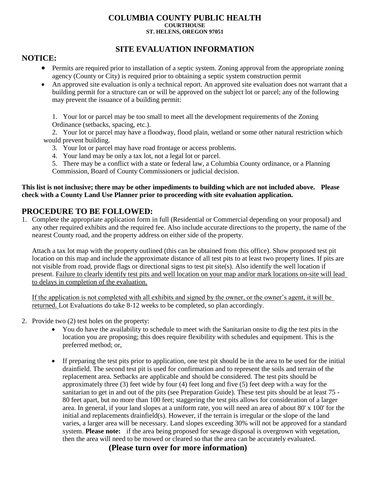#### **COLUMBIA COUNTY PUBLIC HEALTH COURTHOUSE ST. HELENS, OREGON 97051**

# **SITE EVALUATION INFORMATION**

### **NOTICE:**

- Permits are required prior to installation of a septic system. Zoning approval from the appropriate zoning agency (County or City) is required prior to obtaining a septic system construction permit
- An approved site evaluation is only a technical report. An approved site evaluation does not warrant that a building permit for a structure can or will be approved on the subject lot or parcel; any of the following may prevent the issuance of a building permit:

1. Your lot or parcel may be too small to meet all the development requirements of the Zoning Ordinance (setbacks, spacing, etc.).

2. Your lot or parcel may have a floodway, flood plain, wetland or some other natural restriction which would prevent building.

- 3. Your lot or parcel may have road frontage or access problems.
- 4. Your land may be only a tax lot, not a legal lot or parcel.

5. There may be a conflict with a state or federal law, a Columbia County ordinance, or a Planning Commission, Board of County Commissioners or judicial decision.

#### **This list is not inclusive; there may be other impediments to building which are not included above. Please check with a County Land Use Planner prior to proceeding with site evaluation application.**

## **PROCEDURE TO BE FOLLOWED:**

1. Complete the appropriate application form in full (Residential or Commercial depending on your proposal) and any other required exhibits and the required fee. Also include accurate directions to the property, the name of the nearest County road, and the property address on either side of the property.

Attach a tax lot map with the property outlined (this can be obtained from this office). Show proposed test pit location on this map and include the approximate distance of all test pits to at least two property lines. If pits are not visible from road, provide flags or directional signs to test pit site(s). Also identify the well location if present. Failure to clearly identify test pits and well location on your map and/or mark locations on-site will lead to delays in completion of the evaluation.

If the application is not completed with all exhibits and signed by the owner, or the owner's agent, it will be returned. Lot Evaluations do take 8-12 weeks to be completed, so plan accordingly.

- 2. Provide two (2) test holes on the property:
	- You do have the availability to schedule to meet with the Sanitarian onsite to dig the test pits in the location you are proposing; this does require flexibility with schedules and equipment. This is the preferred method; or,
	- If preparing the test pits prior to application, one test pit should be in the area to be used for the initial drainfield. The second test pit is used for confirmation and to represent the soils and terrain of the replacement area. Setbacks are applicable and should be considered. The test pits should be approximately three (3) feet wide by four (4) feet long and five (5) feet deep with a way for the sanitarian to get in and out of the pits (see Preparation Guide). These test pits should be at least 75 - 80 feet apart, but no more than 100 feet; staggering the test pits allows for consideration of a larger area. In general, if your land slopes at a uniform rate, you will need an area of about 80' x 100' for the initial and replacements drainfield(s). However, if the terrain is irregular or the slope of the land varies, a larger area will be necessary. Land slopes exceeding 30% will not be approved for a standard system. **Please note:** if the area being proposed for sewage disposal is overgrown with vegetation, then the area will need to be mowed or cleared so that the area can be accurately evaluated.

**(Please turn over for more information)**